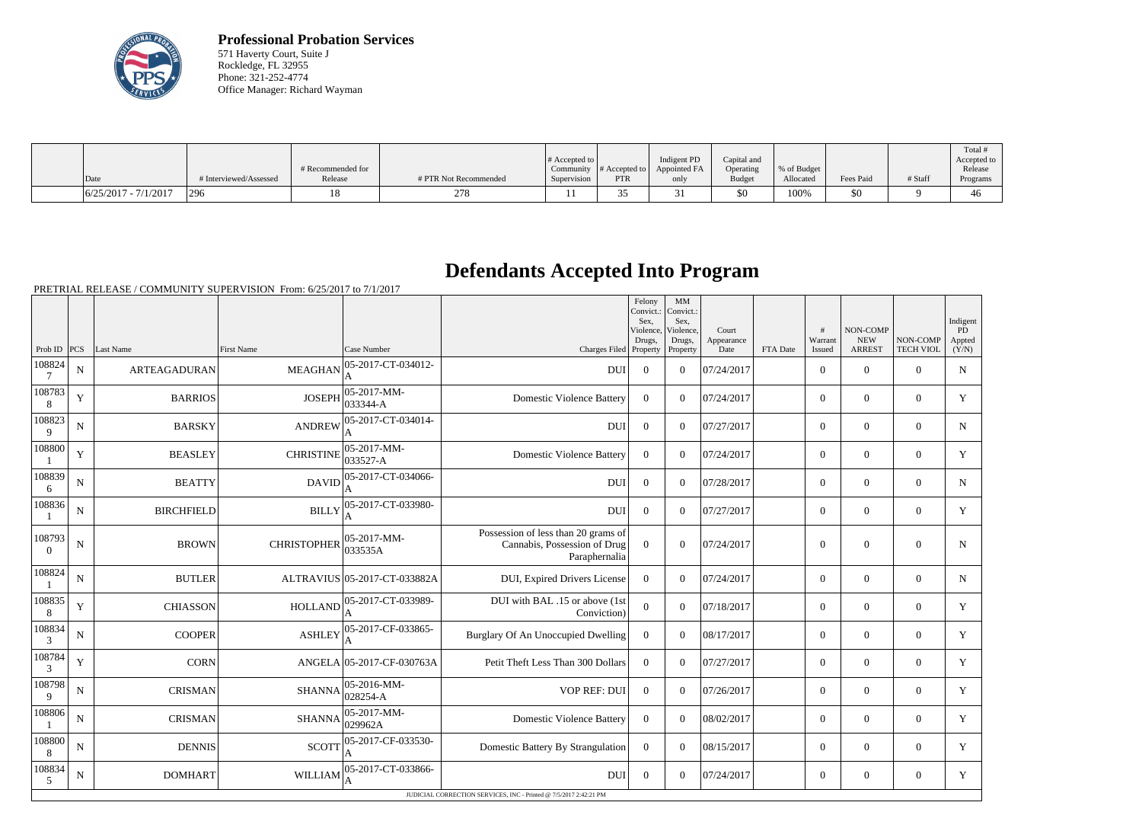

**Professional Probation Services** 571 Haverty Court, Suite J Rockledge, FL 32955 Phone: 321-252-4774 Office Manager: Richard Wayman

|                        |                        | # Recommended for |                       | # Accepted to $\vert$ |            | Indigent PD<br>Community $\ #$ Accepted to $\ $ Appointed FA | Capital and<br>Operating | % of Budget |           |         | Total<br>Accepted to<br>Release |
|------------------------|------------------------|-------------------|-----------------------|-----------------------|------------|--------------------------------------------------------------|--------------------------|-------------|-----------|---------|---------------------------------|
| Date                   | # Interviewed/Assessed | Release           | # PTR Not Recommended | Supervision           | <b>PTR</b> | only                                                         | <b>Budget</b>            | Allocated   | Fees Paid | # Staff | Programs                        |
| $6/25/2017 - 7/1/2017$ | 296                    |                   | 278                   |                       |            |                                                              | \$0                      | 100%        | \$0       |         | 40                              |

## **Defendants Accepted Into Program**

PRETRIAL RELEASE / COMMUNITY SUPERVISION From: 6/25/2017 to 7/1/2017

|                          |             |                     |                    |                                 |                                                                                      | Felony<br>Convict.:<br>Sex.<br>Violence,<br>Drugs, | MM<br>Convict.:<br>Sex.<br>Violence,<br>Drugs, | Court<br>Appearance |          | #<br>Warrant   | NON-COMP<br><b>NEW</b> | NON-COMP         | Indigent<br>PD<br>Appted |
|--------------------------|-------------|---------------------|--------------------|---------------------------------|--------------------------------------------------------------------------------------|----------------------------------------------------|------------------------------------------------|---------------------|----------|----------------|------------------------|------------------|--------------------------|
| Prob ID                  | PCS         | Last Name           | <b>First Name</b>  | Case Number                     | Charges Filed Property                                                               |                                                    | Property                                       | Date                | FTA Date | Issued         | <b>ARREST</b>          | <b>TECH VIOL</b> | (Y/N)                    |
| 108824<br>7              | $\mathbf N$ | <b>ARTEAGADURAN</b> | <b>MEAGHAN</b>     | 05-2017-CT-034012-<br>A         | <b>DUI</b>                                                                           | $\Omega$                                           | $\theta$                                       | 07/24/2017          |          | $\overline{0}$ | $\theta$               | $\Omega$         | $\mathbf N$              |
| 108783<br>8              | Y           | <b>BARRIOS</b>      | <b>JOSEPH</b>      | 05-2017-MM-<br>033344-A         | <b>Domestic Violence Battery</b>                                                     | $\overline{0}$                                     | $\Omega$                                       | 07/24/2017          |          | $\overline{0}$ | $\theta$               | $\overline{0}$   | Y                        |
| 108823<br>9              | N           | <b>BARSKY</b>       | <b>ANDREW</b>      | 05-2017-CT-034014-<br>A         | <b>DUI</b>                                                                           | $\theta$                                           | $\Omega$                                       | 07/27/2017          |          | $\Omega$       | $\theta$               | $\Omega$         | N                        |
| 108800                   | Y           | <b>BEASLEY</b>      | <b>CHRISTINE</b>   | 05-2017-MM-<br>033527-A         | <b>Domestic Violence Battery</b>                                                     | $\Omega$                                           | $\Omega$                                       | 07/24/2017          |          | $\overline{0}$ | $\theta$               | $\Omega$         | Y                        |
| 108839<br>6              | N           | <b>BEATTY</b>       | <b>DAVID</b>       | 05-2017-CT-034066-              | <b>DUI</b>                                                                           | $\overline{0}$                                     | $\Omega$                                       | 07/28/2017          |          | $\overline{0}$ | $\boldsymbol{0}$       | $\overline{0}$   | $\mathbf N$              |
| 108836                   | N           | <b>BIRCHFIELD</b>   | <b>BILLY</b>       | 05-2017-CT-033980-              | <b>DUI</b>                                                                           | $\Omega$                                           | $\Omega$                                       | 07/27/2017          |          | $\overline{0}$ | $\theta$               | $\overline{0}$   | Y                        |
| 108793<br>$\overline{0}$ | $\mathbf N$ | <b>BROWN</b>        | <b>CHRISTOPHER</b> | 05-2017-MM-<br>033535A          | Possession of less than 20 grams of<br>Cannabis, Possession of Drug<br>Paraphernalia | $\Omega$                                           | $\Omega$                                       | 07/24/2017          |          | $\mathbf{0}$   | $\Omega$               | $\overline{0}$   | N                        |
| 108824                   | N           | <b>BUTLER</b>       |                    | ALTRAVIUS 05-2017-CT-033882A    | DUI, Expired Drivers License                                                         | $\Omega$                                           | $\Omega$                                       | 07/24/2017          |          | $\overline{0}$ | $\mathbf{0}$           | $\mathbf{0}$     | N                        |
| 108835<br>8              | Y           | <b>CHIASSON</b>     | <b>HOLLAND</b>     | 05-2017-CT-033989-              | DUI with BAL .15 or above (1st<br>Conviction)                                        | $\Omega$                                           | $\Omega$                                       | 07/18/2017          |          | $\overline{0}$ | $\theta$               | $\overline{0}$   | Y                        |
| 108834<br>3              | N           | <b>COOPER</b>       | <b>ASHLEY</b>      | 05-2017-CF-033865-<br>A         | Burglary Of An Unoccupied Dwelling                                                   | $\mathbf{0}$                                       | $\theta$                                       | 08/17/2017          |          | $\overline{0}$ | $\overline{0}$         | $\overline{0}$   | Y                        |
| 108784<br>3              | Y           | <b>CORN</b>         |                    | ANGELA 05-2017-CF-030763A       | Petit Theft Less Than 300 Dollars                                                    | $\mathbf{0}$                                       | $\theta$                                       | 07/27/2017          |          | $\overline{0}$ | $\overline{0}$         | $\overline{0}$   | Y                        |
| 108798<br>9              | N           | <b>CRISMAN</b>      | <b>SHANNA</b>      | $ 05 - 2016 - MM -$<br>028254-A | <b>VOP REF: DUI</b>                                                                  | $\overline{0}$                                     | $\Omega$                                       | 07/26/2017          |          | $\Omega$       | $\theta$               | $\Omega$         | Y                        |
| 108806                   | N           | <b>CRISMAN</b>      | <b>SHANNA</b>      | $ 05-2017-MM-$<br>029962A       | <b>Domestic Violence Battery</b>                                                     | $\overline{0}$                                     | $\Omega$                                       | 08/02/2017          |          | $\overline{0}$ | $\theta$               | $\overline{0}$   | Y                        |
| 108800<br>8              | N           | <b>DENNIS</b>       | <b>SCOTT</b>       | 05-2017-CF-033530-<br>A         | Domestic Battery By Strangulation                                                    | $\overline{0}$                                     | $\Omega$                                       | 08/15/2017          |          | $\overline{0}$ | $\mathbf{0}$           | $\mathbf{0}$     | Y                        |
| 108834<br>5              | N           | <b>DOMHART</b>      | <b>WILLIAM</b>     | 05-2017-CT-033866-              | <b>DUI</b>                                                                           | $\Omega$                                           | $\Omega$                                       | 07/24/2017          |          | $\overline{0}$ | $\theta$               | $\Omega$         | Y                        |
|                          |             |                     |                    |                                 | JUDICIAL CORRECTION SERVICES, INC - Printed @ 7/5/2017 2:42:21 PM                    |                                                    |                                                |                     |          |                |                        |                  |                          |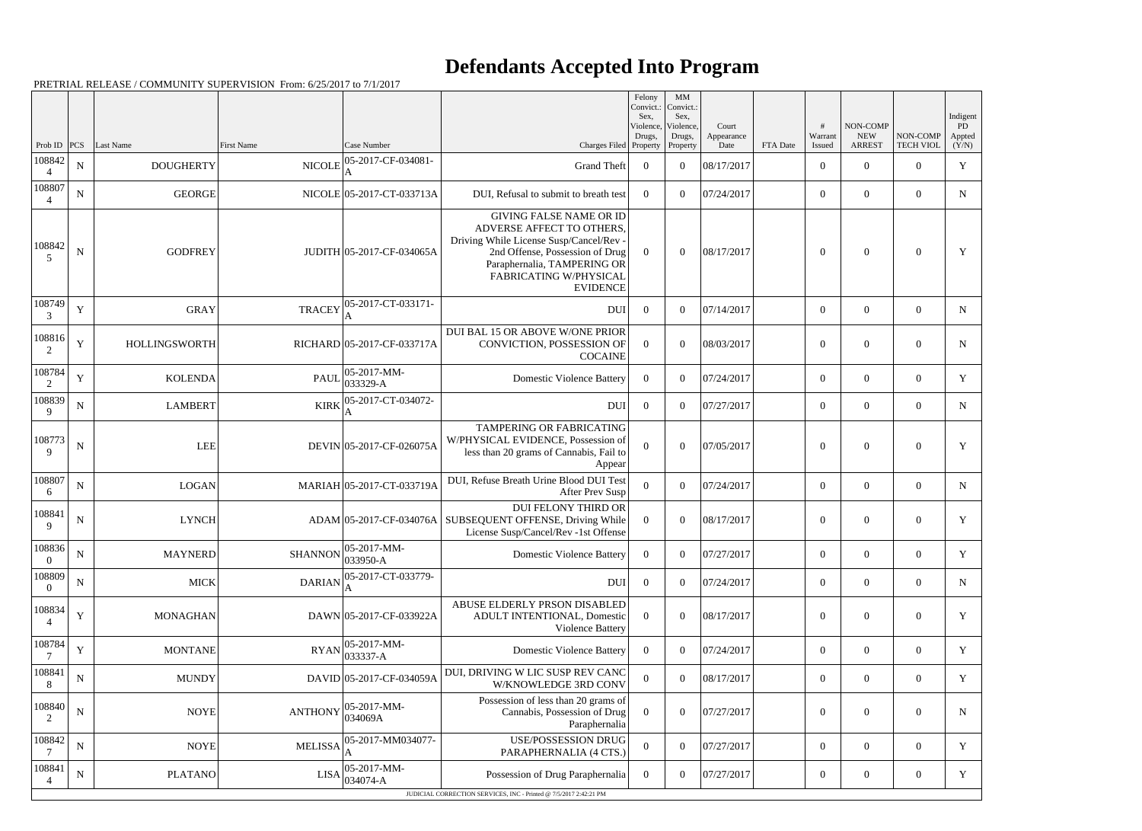## **Defendants Accepted Into Program**

PRETRIAL RELEASE / COMMUNITY SUPERVISION From: 6/25/2017 to 7/1/2017

|                            |             |                  |                |                                                     |                                                                                                                                                                                                                       | Felony<br>Convict.:<br>Sex,<br>Violence,<br>Drugs, | MM<br>Convict.:<br>Sex,<br>Violence,<br>Drugs, | Court<br>Appearance |          | #<br>Warrant     | NON-COMP<br><b>NEW</b> | NON-COMP         | Indigent<br>PD<br>Appted |
|----------------------------|-------------|------------------|----------------|-----------------------------------------------------|-----------------------------------------------------------------------------------------------------------------------------------------------------------------------------------------------------------------------|----------------------------------------------------|------------------------------------------------|---------------------|----------|------------------|------------------------|------------------|--------------------------|
| Prob ID<br>108842          | PCS         | Last Name        | First Name     | Case Number<br>05-2017-CF-034081-                   | Charges Filed Property                                                                                                                                                                                                |                                                    | Property                                       | Date                | FTA Date | Issued           | <b>ARREST</b>          | <b>TECH VIOL</b> | (Y/N)                    |
| $\Delta$                   | ${\bf N}$   | <b>DOUGHERTY</b> | <b>NICOLE</b>  | A                                                   | <b>Grand Theft</b>                                                                                                                                                                                                    | $\overline{0}$                                     | $\theta$                                       | 08/17/2017          |          | $\overline{0}$   | $\Omega$               | $\overline{0}$   | $\mathbf Y$              |
| 108807<br>$\overline{4}$   | ${\bf N}$   | <b>GEORGE</b>    |                | NICOLE 05-2017-CT-033713A                           | DUI, Refusal to submit to breath test                                                                                                                                                                                 | $\overline{0}$                                     | $\Omega$                                       | 07/24/2017          |          | $\overline{0}$   | $\overline{0}$         | $\overline{0}$   | $\mathbf N$              |
| 108842<br>5                | ${\bf N}$   | <b>GODFREY</b>   |                | JUDITH 05-2017-CF-034065A                           | <b>GIVING FALSE NAME OR ID</b><br>ADVERSE AFFECT TO OTHERS.<br>Driving While License Susp/Cancel/Rev -<br>2nd Offense, Possession of Drug<br>Paraphernalia, TAMPERING OR<br>FABRICATING W/PHYSICAL<br><b>EVIDENCE</b> | $\Omega$                                           | $\theta$                                       | 08/17/2017          |          | $\overline{0}$   | $\theta$               | $\overline{0}$   | Y                        |
| 108749<br>3                | $\mathbf Y$ | <b>GRAY</b>      | <b>TRACEY</b>  | 05-2017-CT-033171-<br>A                             | <b>DUI</b>                                                                                                                                                                                                            | $\overline{0}$                                     | $\theta$                                       | 07/14/2017          |          | $\overline{0}$   | $\overline{0}$         | $\overline{0}$   | N                        |
| 108816<br>2                | Y           | HOLLINGSWORTH    |                | RICHARD 05-2017-CF-033717A                          | DUI BAL 15 OR ABOVE W/ONE PRIOR<br>CONVICTION, POSSESSION OF<br><b>COCAINE</b>                                                                                                                                        | $\overline{0}$                                     | $\Omega$                                       | 08/03/2017          |          | $\boldsymbol{0}$ | $\overline{0}$         | $\overline{0}$   | ${\bf N}$                |
| 108784<br>2                | Y           | <b>KOLENDA</b>   | <b>PAUL</b>    | $ 05-2017-MM-$<br>$ 033329-A$                       | <b>Domestic Violence Battery</b>                                                                                                                                                                                      | $\overline{0}$                                     | $\theta$                                       | 07/24/2017          |          | $\overline{0}$   | $\theta$               | $\overline{0}$   | Y                        |
| 108839<br>9                | ${\bf N}$   | <b>LAMBERT</b>   | <b>KIRK</b>    | 05-2017-CT-034072-<br>A                             | DUI                                                                                                                                                                                                                   | $\overline{0}$                                     | $\Omega$                                       | 07/27/2017          |          | $\overline{0}$   | $\overline{0}$         | $\overline{0}$   | $\mathbf N$              |
| 108773<br>$\mathbf{Q}$     | $\mathbf N$ | <b>LEE</b>       |                | DEVIN 05-2017-CF-026075A                            | TAMPERING OR FABRICATING<br>W/PHYSICAL EVIDENCE, Possession of<br>less than 20 grams of Cannabis, Fail to<br>Appear                                                                                                   | $\Omega$                                           | $\Omega$                                       | 07/05/2017          |          | $\overline{0}$   | $\theta$               | $\overline{0}$   | Y                        |
| 108807<br>6                | ${\bf N}$   | <b>LOGAN</b>     |                | MARIAH 05-2017-CT-033719A                           | DUI, Refuse Breath Urine Blood DUI Test<br>After Prev Susp                                                                                                                                                            | $\overline{0}$                                     | $\theta$                                       | 07/24/2017          |          | $\overline{0}$   | $\overline{0}$         | $\overline{0}$   | N                        |
| 108841<br>9                | ${\bf N}$   | <b>LYNCH</b>     |                |                                                     | <b>DUI FELONY THIRD OR</b><br>ADAM 05-2017-CF-034076A SUBSEQUENT OFFENSE, Driving While<br>License Susp/Cancel/Rev -1st Offense                                                                                       | $\overline{0}$                                     | $\overline{0}$                                 | 08/17/2017          |          | $\overline{0}$   | $\overline{0}$         | $\overline{0}$   | Y                        |
| 108836<br>$\boldsymbol{0}$ | ${\bf N}$   | <b>MAYNERD</b>   |                | $SHANNON$ $\Big  05 - 2017 - MM -$<br>$ 033950 - A$ | Domestic Violence Battery                                                                                                                                                                                             | $\Omega$                                           | $\overline{0}$                                 | 07/27/2017          |          | $\boldsymbol{0}$ | $\overline{0}$         | $\overline{0}$   | Y                        |
| 108809<br>$\overline{0}$   | ${\bf N}$   | <b>MICK</b>      | <b>DARIAN</b>  | 05-2017-CT-033779-<br>ΙA                            | <b>DUI</b>                                                                                                                                                                                                            | $\overline{0}$                                     | $\Omega$                                       | 07/24/2017          |          | $\overline{0}$   | $\overline{0}$         | $\overline{0}$   | $\mathbf N$              |
| 108834                     | $\mathbf Y$ | <b>MONAGHAN</b>  |                | DAWN 05-2017-CF-033922A                             | ABUSE ELDERLY PRSON DISABLED<br>ADULT INTENTIONAL, Domestic<br>Violence Battery                                                                                                                                       | $\Omega$                                           | $\Omega$                                       | 08/17/2017          |          | $\boldsymbol{0}$ | $\boldsymbol{0}$       | $\overline{0}$   | Y                        |
| 108784                     | $\mathbf Y$ | <b>MONTANE</b>   |                | $RYAN$ 05-2017-MM-<br>033337-A                      | <b>Domestic Violence Battery</b>                                                                                                                                                                                      | $\overline{0}$                                     | $\theta$                                       | 07/24/2017          |          | $\overline{0}$   | $\overline{0}$         | $\overline{0}$   | Y                        |
| 108841<br>8                | ${\bf N}$   | <b>MUNDY</b>     |                | DAVID 05-2017-CF-034059A                            | DUI, DRIVING W LIC SUSP REV CANC<br>W/KNOWLEDGE 3RD CONV                                                                                                                                                              | $\mathbf{0}$                                       | $\overline{0}$                                 | 08/17/2017          |          | $\overline{0}$   | $\overline{0}$         | $\overline{0}$   | Y                        |
| 108840<br>2                | ${\bf N}$   | <b>NOYE</b>      | <b>ANTHONY</b> | $ 05-2017-MM-$<br>034069A                           | Possession of less than 20 grams of<br>Cannabis, Possession of Drug<br>Paraphernalia                                                                                                                                  | $\boldsymbol{0}$                                   | $\Omega$                                       | 07/27/2017          |          | $\boldsymbol{0}$ | $\bf{0}$               | $\overline{0}$   | $\mathbf N$              |
| 108842                     | $\mathbf N$ | <b>NOYE</b>      | <b>MELISSA</b> | 05-2017-MM034077-                                   | <b>USE/POSSESSION DRUG</b><br>PARAPHERNALIA (4 CTS.)                                                                                                                                                                  | $\theta$                                           | $\Omega$                                       | 07/27/2017          |          | $\overline{0}$   | $\overline{0}$         | $\overline{0}$   | Y                        |
| 108841                     | ${\bf N}$   | <b>PLATANO</b>   |                | $ 05-2017-MM-$<br>$LISA _{034074-A}^{\circ}$        | Possession of Drug Paraphernalia                                                                                                                                                                                      | $\overline{0}$                                     | $\overline{0}$                                 | 07/27/2017          |          | $\boldsymbol{0}$ | $\overline{0}$         | $\overline{0}$   | Y                        |
|                            |             |                  |                |                                                     | JUDICIAL CORRECTION SERVICES, INC - Printed @ 7/5/2017 2:42:21 PM                                                                                                                                                     |                                                    |                                                |                     |          |                  |                        |                  |                          |